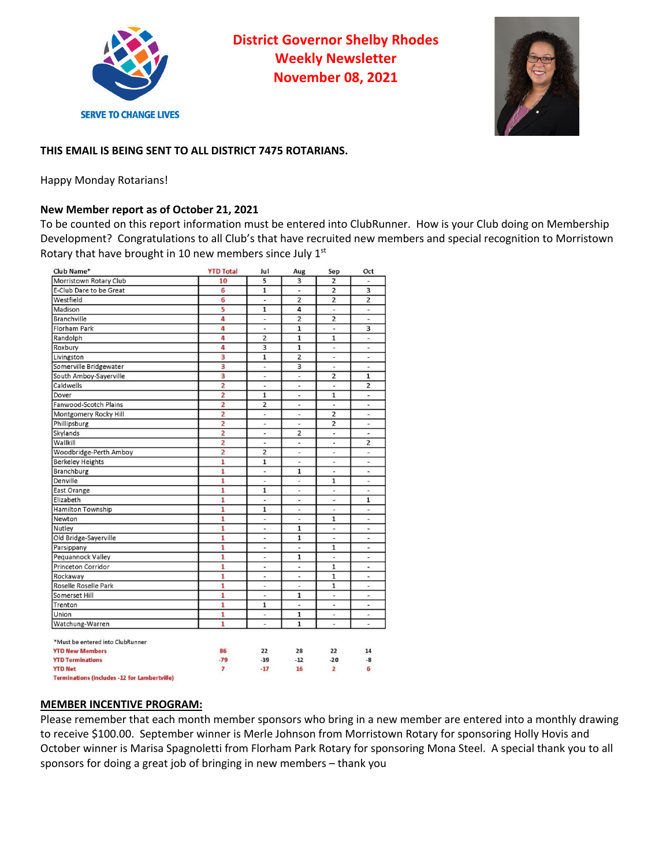

**District Governor Shelby Rhodes Weekly Newsletter November 08, 2021**



# **THIS EMAIL IS BEING SENT TO ALL DISTRICT 7475 ROTARIANS.**

Happy Monday Rotarians!

## **New Member report as of October 21, 2021**

To be counted on this report information must be entered into ClubRunner. How is your Club doing on Membership Development? Congratulations to all Club's that have recruited new members and special recognition to Morristown Rotary that have brought in 10 new members since July 1st

| Club Name*                       | <b>YTD Total</b> | Jul                                                                                                                                                                                                                                                                                                                                                                                                                                              | Aug                             | Sep                          | Oct                      |
|----------------------------------|------------------|--------------------------------------------------------------------------------------------------------------------------------------------------------------------------------------------------------------------------------------------------------------------------------------------------------------------------------------------------------------------------------------------------------------------------------------------------|---------------------------------|------------------------------|--------------------------|
| Morristown Rotary Club           | 10               | 5                                                                                                                                                                                                                                                                                                                                                                                                                                                | 3                               | $\overline{2}$               | $\overline{a}$           |
| E-Club Dare to be Great          | 6                | $\mathbf{1}$                                                                                                                                                                                                                                                                                                                                                                                                                                     | Ξ                               | $\overline{2}$               | 3                        |
| Westfield                        | 6                | $\overline{\phantom{a}}$                                                                                                                                                                                                                                                                                                                                                                                                                         | $\overline{2}$                  | $\overline{2}$               | $\overline{2}$           |
| Madison                          | 5                | $\mathbf{1}$                                                                                                                                                                                                                                                                                                                                                                                                                                     | 4                               | $\overline{\phantom{a}}$     | $\overline{\phantom{a}}$ |
| <b>Branchville</b>               | 4                | $\overline{\phantom{a}}$                                                                                                                                                                                                                                                                                                                                                                                                                         | $\overline{2}$                  | $\overline{2}$               | $\blacksquare$           |
| <b>Florham Park</b>              | 4                | ä,                                                                                                                                                                                                                                                                                                                                                                                                                                               | $\mathbf{1}$                    | ä,                           | 3                        |
| Randolph                         | 4                | $\overline{2}$                                                                                                                                                                                                                                                                                                                                                                                                                                   | $\mathbf{1}$                    | $\mathbf{1}$                 | $\sim$                   |
| Roxbury                          | 4                | 3                                                                                                                                                                                                                                                                                                                                                                                                                                                | $\mathbf{1}$                    | $\overline{a}$               | ÷.                       |
| Livingston                       | 3                | $\mathbf{1}$                                                                                                                                                                                                                                                                                                                                                                                                                                     | $\overline{2}$                  | $\overline{\phantom{a}}$     | $\blacksquare$           |
| Somerville Bridgewater           | 3                | $\overline{a}$                                                                                                                                                                                                                                                                                                                                                                                                                                   | 3                               | $\overline{a}$               | $\overline{\phantom{a}}$ |
| South Amboy-Sayerville           | 3                | ٠                                                                                                                                                                                                                                                                                                                                                                                                                                                | $\overline{\phantom{a}}$        | $\overline{2}$               | $\mathbf{1}$             |
| Caldwells                        | $\overline{2}$   | ä,                                                                                                                                                                                                                                                                                                                                                                                                                                               | ù,                              | $\frac{1}{2}$                | $\overline{2}$           |
| Dover                            | $\overline{2}$   | $\mathbf{1}$                                                                                                                                                                                                                                                                                                                                                                                                                                     | $\overline{\phantom{a}}$        | $\mathbf{1}$                 | $\bar{a}$                |
| Fanwood-Scotch Plains            | $\overline{2}$   | $\overline{2}$                                                                                                                                                                                                                                                                                                                                                                                                                                   | $\overline{\phantom{a}}$        | $\blacksquare$               | $\overline{\phantom{a}}$ |
| Montgomery Rocky Hill            | $\overline{2}$   | $\overline{\phantom{m}}$                                                                                                                                                                                                                                                                                                                                                                                                                         | $\overline{\phantom{a}}$        | $\overline{2}$               | ×,                       |
| Phillipsburg                     | $\overline{2}$   | $\overline{\phantom{m}}$                                                                                                                                                                                                                                                                                                                                                                                                                         | $\qquad \qquad \blacksquare$    | $\overline{2}$               | $\overline{\phantom{0}}$ |
| Skylands                         | $\overline{2}$   | $\overline{\phantom{m}}$                                                                                                                                                                                                                                                                                                                                                                                                                         | $\overline{2}$                  | $\overline{a}$               | $\frac{1}{2}$            |
| Wallkill                         | $\overline{2}$   | $\centering \centering \includegraphics[width=0.65\textwidth]{figs/fig_10022_10-0.22111.pdf} \includegraphics[width=0.65\textwidth]{figs/fig_10022_10-0.221111.pdf} \includegraphics[width=0.65\textwidth]{figs/fig_10022_10-0.221111.pdf} \includegraphics[width=0.65\textwidth]{figs/fig_10022_10-0.2211111.pdf} \includegraphics[width=0.65\textwidth]{figs/fig_10022_10-0.22111111.pdf} \includegraphics[width=0.65\textwidth]{figs/fig_100$ | ä,                              | $\overline{\phantom{a}}$     | 2                        |
| Woodbridge-Perth Amboy           | $\overline{2}$   | 2                                                                                                                                                                                                                                                                                                                                                                                                                                                | $\overline{\phantom{a}}$        | $\overline{\phantom{a}}$     | $\overline{a}$           |
| <b>Berkeley Heights</b>          | $\overline{1}$   | $\overline{1}$                                                                                                                                                                                                                                                                                                                                                                                                                                   | $\overline{\phantom{a}}$        | $\overline{\phantom{a}}$     | $\sim$                   |
| <b>Branchburg</b>                | $\mathbf{1}$     | ä,                                                                                                                                                                                                                                                                                                                                                                                                                                               | $\mathbf{1}$                    | $\blacksquare$               | u,                       |
| Denville                         | 1                | $\overline{\phantom{a}}$                                                                                                                                                                                                                                                                                                                                                                                                                         | $\overline{\phantom{a}}$        | $\mathbf{1}$                 | $\overline{\phantom{a}}$ |
| East Orange                      | 1                | $\mathbf{1}$                                                                                                                                                                                                                                                                                                                                                                                                                                     | $\overline{\phantom{a}}$        | $\qquad \qquad \blacksquare$ | $\sim$                   |
| Elizabeth                        | 1                | ٠                                                                                                                                                                                                                                                                                                                                                                                                                                                | $\overline{\phantom{a}}$        | $\overline{\phantom{m}}$     | 1                        |
| <b>Hamilton Township</b>         | $\overline{1}$   | $\mathbf{1}$                                                                                                                                                                                                                                                                                                                                                                                                                                     | $\centering \label{eq:reduced}$ | ۰                            | ×                        |
| Newton                           | 1                | $\frac{1}{2}$                                                                                                                                                                                                                                                                                                                                                                                                                                    | $\overline{a}$                  | $\mathbf{1}$                 | $\blacksquare$           |
| Nutley                           | $\mathbf{1}$     | ä,                                                                                                                                                                                                                                                                                                                                                                                                                                               | $\mathbf{1}$                    | ä,                           | u.                       |
| Old Bridge-Sayerville            | 1                | $\overline{\phantom{a}}$                                                                                                                                                                                                                                                                                                                                                                                                                         | $\overline{1}$                  | $\overline{\phantom{a}}$     | $\sim$                   |
| Parsippany                       | 1                | ÷,                                                                                                                                                                                                                                                                                                                                                                                                                                               | ÷.                              | $\mathbf{1}$                 | ×                        |
| Pequannock Valley                | 1                | $\frac{1}{2}$                                                                                                                                                                                                                                                                                                                                                                                                                                    | $\mathbf{1}$                    | $\frac{1}{2}$                | $\overline{\phantom{a}}$ |
| Princeton Corridor               | 1                | $\overline{\phantom{a}}$                                                                                                                                                                                                                                                                                                                                                                                                                         | $\overline{a}$                  | $\mathbf{1}$                 | $\blacksquare$           |
| Rockaway                         | $\mathbf{1}$     | ٠                                                                                                                                                                                                                                                                                                                                                                                                                                                | ä,                              | $\mathbf{1}$                 | $\blacksquare$           |
| Roselle Roselle Park             | $\mathbf{1}$     | ä,                                                                                                                                                                                                                                                                                                                                                                                                                                               | $\blacksquare$                  | $\mathbf{1}$                 | $\overline{\phantom{a}}$ |
| Somerset Hill                    | 1                | $\overline{a}$                                                                                                                                                                                                                                                                                                                                                                                                                                   | $\mathbf{1}$                    | ٠                            | ۰                        |
| Trenton                          | $\mathbf{1}$     | $\mathbf{1}$                                                                                                                                                                                                                                                                                                                                                                                                                                     | ä,                              | $\frac{1}{2}$                | ä,                       |
| Union                            | 1                | ٠                                                                                                                                                                                                                                                                                                                                                                                                                                                | $\mathbf{1}$                    | $\overline{\phantom{a}}$     | $\frac{1}{2}$            |
| Watchung-Warren                  | $\mathbf{1}$     | $\overline{a}$                                                                                                                                                                                                                                                                                                                                                                                                                                   | $\mathbf{1}$                    | $\overline{a}$               | $\blacksquare$           |
|                                  |                  |                                                                                                                                                                                                                                                                                                                                                                                                                                                  |                                 |                              |                          |
| *Must be entered into ClubRunner |                  |                                                                                                                                                                                                                                                                                                                                                                                                                                                  |                                 |                              |                          |
| <b>YTD New Members</b>           | 86               | 22                                                                                                                                                                                                                                                                                                                                                                                                                                               | 28                              | 22                           | 14                       |
| <b>YTD Terminations</b>          | $-79$            | $-39$                                                                                                                                                                                                                                                                                                                                                                                                                                            | $-12$                           | $-20$                        | -8                       |
| <b>YTD Net</b>                   | 7                | $-17$                                                                                                                                                                                                                                                                                                                                                                                                                                            | 16                              | $\overline{2}$               | 6                        |
|                                  |                  |                                                                                                                                                                                                                                                                                                                                                                                                                                                  |                                 |                              |                          |

**Terminations (includes -12 for Lambertville)** 

#### **MEMBER INCENTIVE PROGRAM:**

Please remember that each month member sponsors who bring in a new member are entered into a monthly drawing to receive \$100.00. September winner is Merle Johnson from Morristown Rotary for sponsoring Holly Hovis and October winner is Marisa Spagnoletti from Florham Park Rotary for sponsoring Mona Steel. A special thank you to all sponsors for doing a great job of bringing in new members – thank you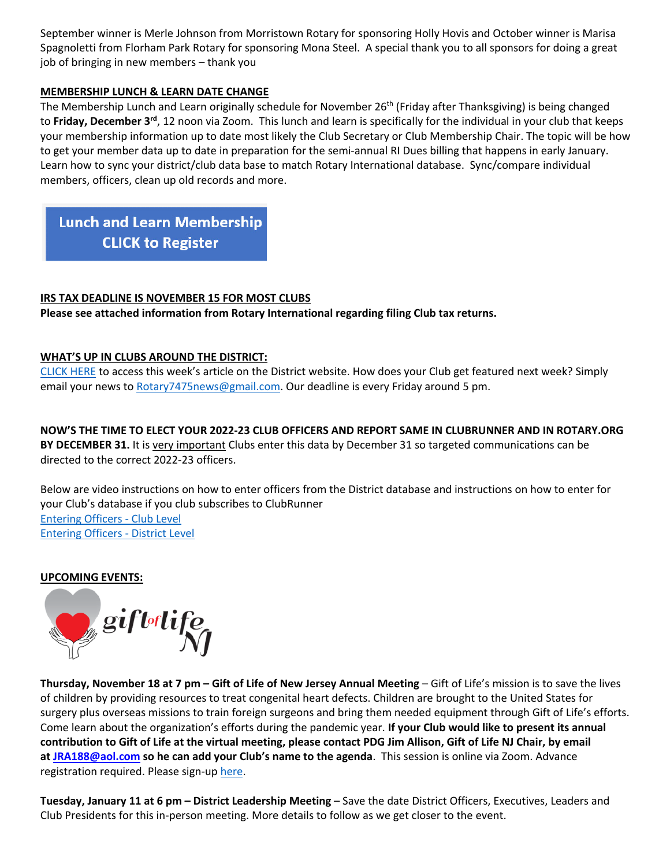September winner is Merle Johnson from Morristown Rotary for sponsoring Holly Hovis and October winner is Marisa Spagnoletti from Florham Park Rotary for sponsoring Mona Steel. A special thank you to all sponsors for doing a great job of bringing in new members – thank you

## **MEMBERSHIP LUNCH & LEARN DATE CHANGE**

The Membership Lunch and Learn originally schedule for November 26<sup>th</sup> (Friday after Thanksgiving) is being changed to Friday, December 3<sup>rd</sup>, 12 noon via Zoom. This lunch and learn is specifically for the individual in your club that keeps your membership information up to date most likely the Club Secretary or Club Membership Chair. The topic will be how to get your member data up to date in preparation for the semi-annual RI Dues billing that happens in early January. Learn how to sync your district/club data base to match Rotary International database. Sync/compare individual members, officers, clean up old records and more.

**Lunch and Learn Membership CLICK to Register** 

# **IRS TAX DEADLINE IS NOVEMBER 15 FOR MOST CLUBS**

**Please see attached information from Rotary International regarding filing Club tax returns.**

# **WHAT'S UP IN CLUBS AROUND THE DISTRICT:**

CLICK HERE to access this week's article on the District website. How does your Club get featured next week? Simply email your news to Rotary7475news@gmail.com. Our deadline is every Friday around 5 pm.

**NOW'S THE TIME TO ELECT YOUR 2022-23 CLUB OFFICERS AND REPORT SAME IN CLUBRUNNER AND IN ROTARY.ORG BY DECEMBER 31.** It is very important Clubs enter this data by December 31 so targeted communications can be directed to the correct 2022-23 officers.

Below are video instructions on how to enter officers from the District database and instructions on how to enter for your Club's database if you club subscribes to ClubRunner Entering Officers - Club Level Entering Officers - District Level

#### **UPCOMING EVENTS:**



**Thursday, November 18 at 7 pm – Gift of Life of New Jersey Annual Meeting** – Gift of Life's mission is to save the lives of children by providing resources to treat congenital heart defects. Children are brought to the United States for surgery plus overseas missions to train foreign surgeons and bring them needed equipment through Gift of Life's efforts. Come learn about the organization's efforts during the pandemic year. **If your Club would like to present its annual contribution to Gift of Life at the virtual meeting, please contact PDG Jim Allison, Gift of Life NJ Chair, by email at JRA188@aol.com so he can add your Club's name to the agenda**. This session is online via Zoom. Advance registration required. Please sign-up here.

**Tuesday, January 11 at 6 pm – District Leadership Meeting** – Save the date District Officers, Executives, Leaders and Club Presidents for this in-person meeting. More details to follow as we get closer to the event.